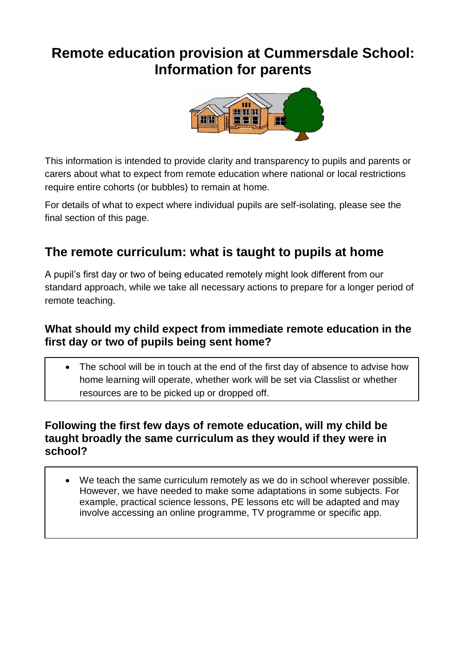# **Remote education provision at Cummersdale School: Information for parents**



This information is intended to provide clarity and transparency to pupils and parents or carers about what to expect from remote education where national or local restrictions require entire cohorts (or bubbles) to remain at home.

For details of what to expect where individual pupils are self-isolating, please see the final section of this page.

## **The remote curriculum: what is taught to pupils at home**

A pupil's first day or two of being educated remotely might look different from our standard approach, while we take all necessary actions to prepare for a longer period of remote teaching.

### **What should my child expect from immediate remote education in the first day or two of pupils being sent home?**

 The school will be in touch at the end of the first day of absence to advise how home learning will operate, whether work will be set via Classlist or whether resources are to be picked up or dropped off.

### **Following the first few days of remote education, will my child be taught broadly the same curriculum as they would if they were in school?**

 We teach the same curriculum remotely as we do in school wherever possible. However, we have needed to make some adaptations in some subjects. For example, practical science lessons, PE lessons etc will be adapted and may involve accessing an online programme, TV programme or specific app.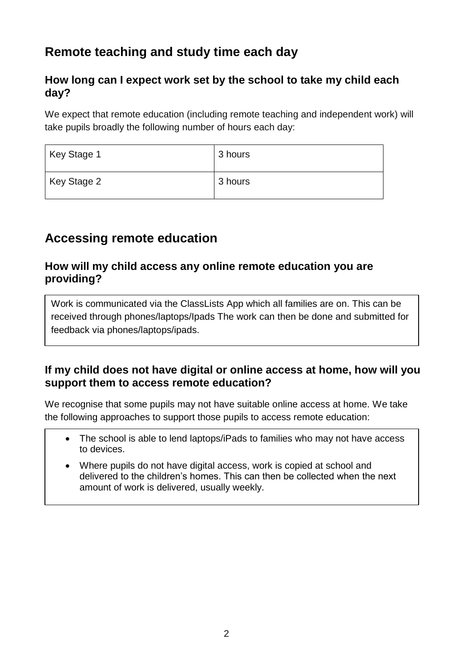## **Remote teaching and study time each day**

### **How long can I expect work set by the school to take my child each day?**

We expect that remote education (including remote teaching and independent work) will take pupils broadly the following number of hours each day:

| Key Stage 1 | 3 hours |
|-------------|---------|
| Key Stage 2 | 3 hours |

## **Accessing remote education**

### **How will my child access any online remote education you are providing?**

Work is communicated via the ClassLists App which all families are on. This can be received through phones/laptops/Ipads The work can then be done and submitted for feedback via phones/laptops/ipads.

### **If my child does not have digital or online access at home, how will you support them to access remote education?**

We recognise that some pupils may not have suitable online access at home. We take the following approaches to support those pupils to access remote education:

- The school is able to lend laptops/iPads to families who may not have access to devices.
- Where pupils do not have digital access, work is copied at school and delivered to the children's homes. This can then be collected when the next amount of work is delivered, usually weekly.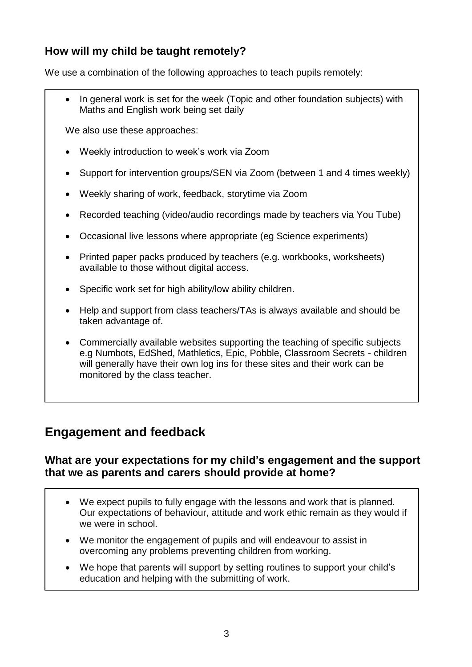## **How will my child be taught remotely?**

We use a combination of the following approaches to teach pupils remotely:

 In general work is set for the week (Topic and other foundation subjects) with Maths and English work being set daily

We also use these approaches:

- Weekly introduction to week's work via Zoom
- Support for intervention groups/SEN via Zoom (between 1 and 4 times weekly)
- Weekly sharing of work, feedback, storytime via Zoom
- Recorded teaching (video/audio recordings made by teachers via You Tube)
- Occasional live lessons where appropriate (eg Science experiments)
- Printed paper packs produced by teachers (e.g. workbooks, worksheets) available to those without digital access.
- Specific work set for high ability/low ability children.
- Help and support from class teachers/TAs is always available and should be taken advantage of.
- Commercially available websites supporting the teaching of specific subjects e.g Numbots, EdShed, Mathletics, Epic, Pobble, Classroom Secrets - children will generally have their own log ins for these sites and their work can be monitored by the class teacher.

## **Engagement and feedback**

#### **What are your expectations for my child's engagement and the support that we as parents and carers should provide at home?**

- We expect pupils to fully engage with the lessons and work that is planned. Our expectations of behaviour, attitude and work ethic remain as they would if we were in school.
- We monitor the engagement of pupils and will endeavour to assist in overcoming any problems preventing children from working.
- We hope that parents will support by setting routines to support your child's education and helping with the submitting of work.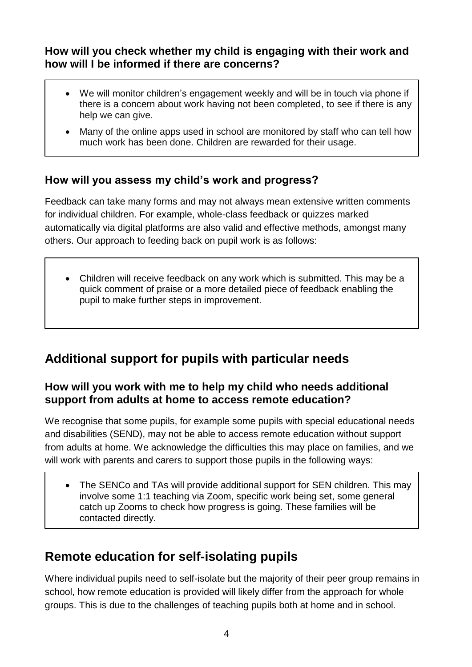### **How will you check whether my child is engaging with their work and how will I be informed if there are concerns?**

- We will monitor children's engagement weekly and will be in touch via phone if there is a concern about work having not been completed, to see if there is any help we can give.
- Many of the online apps used in school are monitored by staff who can tell how much work has been done. Children are rewarded for their usage.

## **How will you assess my child's work and progress?**

Feedback can take many forms and may not always mean extensive written comments for individual children. For example, whole-class feedback or quizzes marked automatically via digital platforms are also valid and effective methods, amongst many others. Our approach to feeding back on pupil work is as follows:

• Children will receive feedback on any work which is submitted. This may be a quick comment of praise or a more detailed piece of feedback enabling the pupil to make further steps in improvement.

## **Additional support for pupils with particular needs**

### **How will you work with me to help my child who needs additional support from adults at home to access remote education?**

We recognise that some pupils, for example some pupils with special educational needs and disabilities (SEND), may not be able to access remote education without support from adults at home. We acknowledge the difficulties this may place on families, and we will work with parents and carers to support those pupils in the following ways:

• The SENCo and TAs will provide additional support for SEN children. This may involve some 1:1 teaching via Zoom, specific work being set, some general catch up Zooms to check how progress is going. These families will be contacted directly.

## **Remote education for self-isolating pupils**

Where individual pupils need to self-isolate but the majority of their peer group remains in school, how remote education is provided will likely differ from the approach for whole groups. This is due to the challenges of teaching pupils both at home and in school.